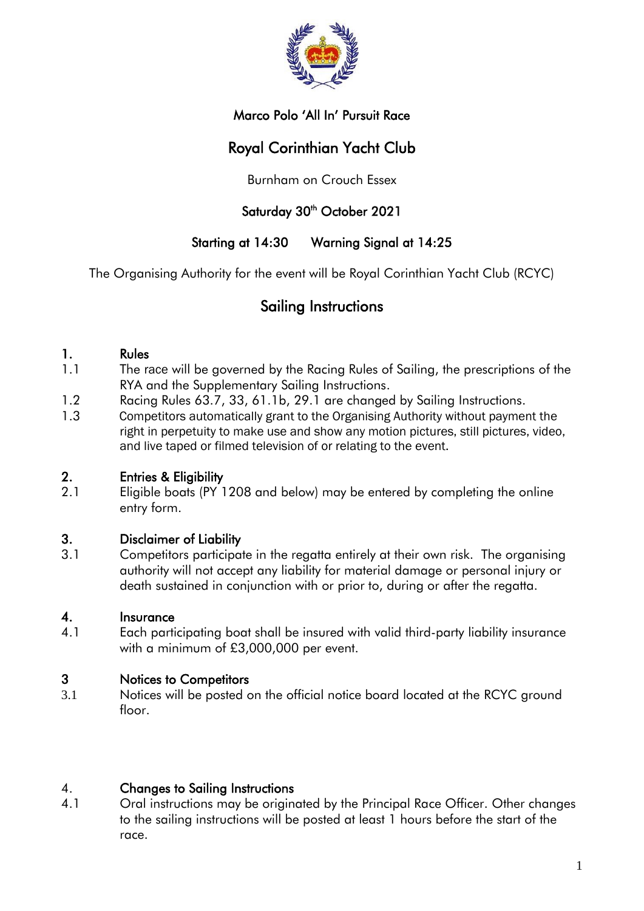

# Marco Polo 'All In' Pursuit Race

# Royal Corinthian Yacht Club

Burnham on Crouch Essex

# Saturday 30<sup>th</sup> October 2021

# Starting at 14:30 Warning Signal at 14:25

The Organising Authority for the event will be Royal Corinthian Yacht Club (RCYC)

# Sailing Instructions

#### 1. Rules

- 1.1 The race will be governed by the Racing Rules of Sailing, the prescriptions of the RYA and the Supplementary Sailing Instructions.
- 1.2 Racing Rules 63.7, 33, 61.1b, 29.1 are changed by Sailing Instructions.
- 1.3 Competitors automatically grant to the Organising Authority without payment the right in perpetuity to make use and show any motion pictures, still pictures, video, and live taped or filmed television of or relating to the event.

# 2. Entries & Eligibility

2.1 Eligible boats (PY 1208 and below) may be entered by completing the online entry form.

# 3. Disclaimer of Liability

3.1 Competitors participate in the regatta entirely at their own risk. The organising authority will not accept any liability for material damage or personal injury or death sustained in conjunction with or prior to, during or after the regatta.

#### 4. Insurance

4.1 Each participating boat shall be insured with valid third-party liability insurance with a minimum of £3,000,000 per event.

# 3 Notices to Competitors

3.1 Notices will be posted on the official notice board located at the RCYC ground floor.

# 4. Changes to Sailing Instructions

4.1 Oral instructions may be originated by the Principal Race Officer. Other changes to the sailing instructions will be posted at least 1 hours before the start of the race.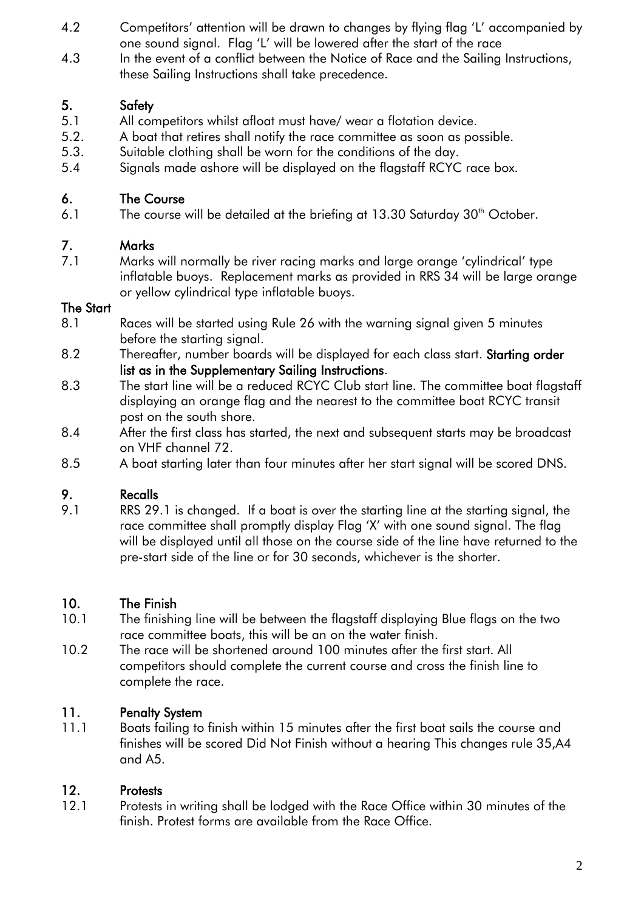- 4.2 Competitors' attention will be drawn to changes by flying flag 'L' accompanied by one sound signal. Flag 'L' will be lowered after the start of the race
- 4.3 In the event of a conflict between the Notice of Race and the Sailing Instructions, these Sailing Instructions shall take precedence.

# 5. Safety

- 5.1 All competitors whilst afloat must have/ wear a flotation device.
- 5.2. A boat that retires shall notify the race committee as soon as possible.
- 5.3. Suitable clothing shall be worn for the conditions of the day.
- 5.4 Signals made ashore will be displayed on the flagstaff RCYC race box.

#### 6. The Course

6.1 The course will be detailed at the briefing at  $13.30$  Saturday  $30<sup>th</sup>$  October.

# 7. Marks

7.1 Marks will normally be river racing marks and large orange 'cylindrical' type inflatable buoys. Replacement marks as provided in RRS 34 will be large orange or yellow cylindrical type inflatable buoys.

#### The Start

- 8.1 Races will be started using Rule 26 with the warning signal given 5 minutes before the starting signal.
- 8.2 Thereafter, number boards will be displayed for each class start. Starting order list as in the Supplementary Sailing Instructions.
- 8.3 The start line will be a reduced RCYC Club start line. The committee boat flagstaff displaying an orange flag and the nearest to the committee boat RCYC transit post on the south shore.
- 8.4 After the first class has started, the next and subsequent starts may be broadcast on VHF channel 72.
- 8.5 A boat starting later than four minutes after her start signal will be scored DNS.

# 9. Recalls

9.1 RRS 29.1 is changed. If a boat is over the starting line at the starting signal, the race committee shall promptly display Flag 'X' with one sound signal. The flag will be displayed until all those on the course side of the line have returned to the pre-start side of the line or for 30 seconds, whichever is the shorter.

# 10. The Finish

- 10.1 The finishing line will be between the flagstaff displaying Blue flags on the two race committee boats, this will be an on the water finish.
- 10.2 The race will be shortened around 100 minutes after the first start. All competitors should complete the current course and cross the finish line to complete the race.

# 11. Penalty System

11.1 Boats failing to finish within 15 minutes after the first boat sails the course and finishes will be scored Did Not Finish without a hearing This changes rule 35,A4 and A5.

# 12. Protests

12.1 Protests in writing shall be lodged with the Race Office within 30 minutes of the finish. Protest forms are available from the Race Office.